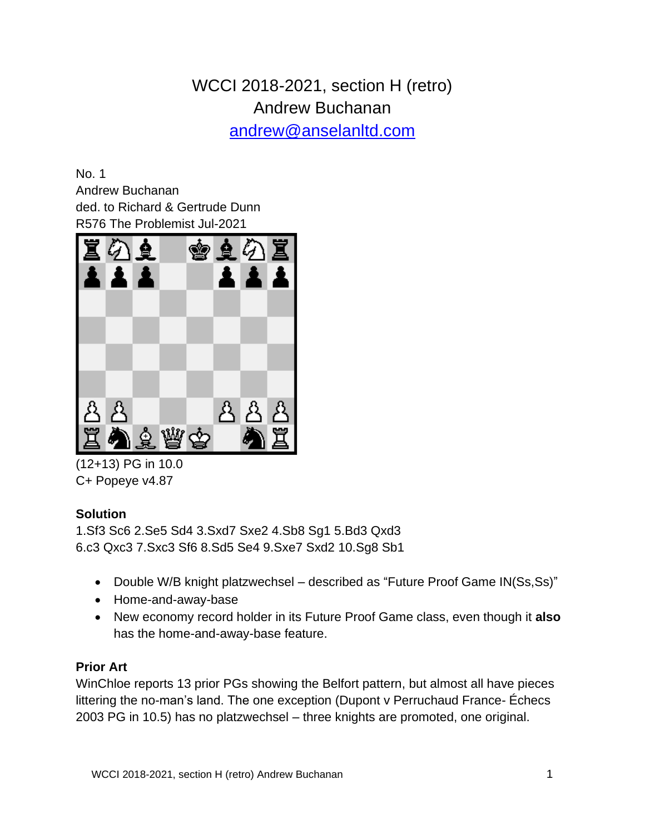# WCCI 2018-2021, section H (retro) Andrew Buchanan

[andrew@anselanltd.com](mailto:andrew@anselanltd.com)

No. 1 Andrew Buchanan ded. to Richard & Gertrude Dunn R576 The Problemist Jul-2021



(12+13) PG in 10.0 C+ Popeye v4.87

# **Solution**

1.Sf3 Sc6 2.Se5 Sd4 3.Sxd7 Sxe2 4.Sb8 Sg1 5.Bd3 Qxd3 6.c3 Qxc3 7.Sxc3 Sf6 8.Sd5 Se4 9.Sxe7 Sxd2 10.Sg8 Sb1

- Double W/B knight platzwechsel described as "Future Proof Game IN(Ss,Ss)"
- Home-and-away-base
- New economy record holder in its Future Proof Game class, even though it **also** has the home-and-away-base feature.

# **Prior Art**

WinChloe reports 13 prior PGs showing the Belfort pattern, but almost all have pieces littering the no-man's land. The one exception (Dupont v Perruchaud France- Échecs 2003 PG in 10.5) has no platzwechsel – three knights are promoted, one original.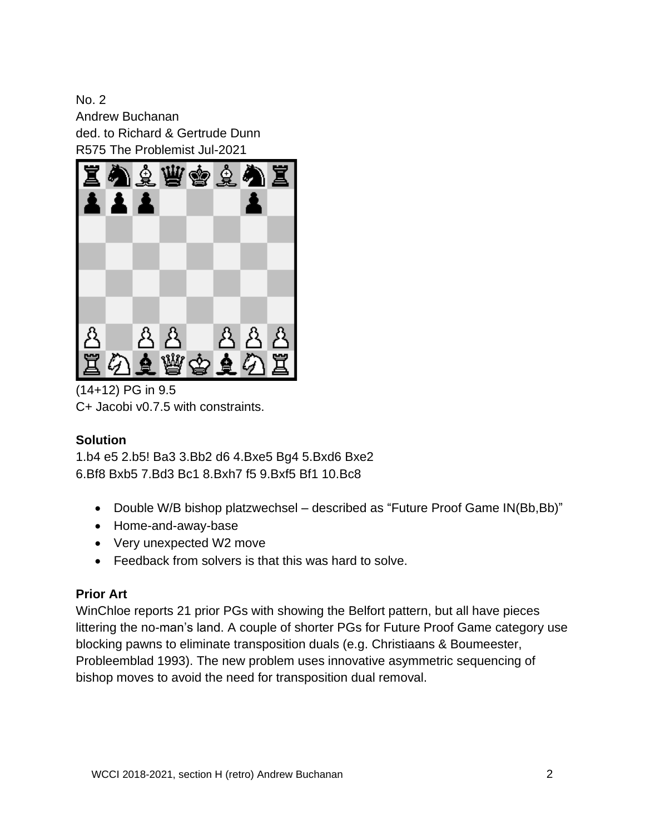No. 2 Andrew Buchanan ded. to Richard & Gertrude Dunn R575 The Problemist Jul-2021



(14+12) PG in 9.5 C+ Jacobi v0.7.5 with constraints.

#### **Solution**

1.b4 e5 2.b5! Ba3 3.Bb2 d6 4.Bxe5 Bg4 5.Bxd6 Bxe2 6.Bf8 Bxb5 7.Bd3 Bc1 8.Bxh7 f5 9.Bxf5 Bf1 10.Bc8

- Double W/B bishop platzwechsel described as "Future Proof Game IN(Bb,Bb)"
- Home-and-away-base
- Very unexpected W2 move
- Feedback from solvers is that this was hard to solve.

#### **Prior Art**

WinChloe reports 21 prior PGs with showing the Belfort pattern, but all have pieces littering the no-man's land. A couple of shorter PGs for Future Proof Game category use blocking pawns to eliminate transposition duals (e.g. Christiaans & Boumeester, Probleemblad 1993). The new problem uses innovative asymmetric sequencing of bishop moves to avoid the need for transposition dual removal.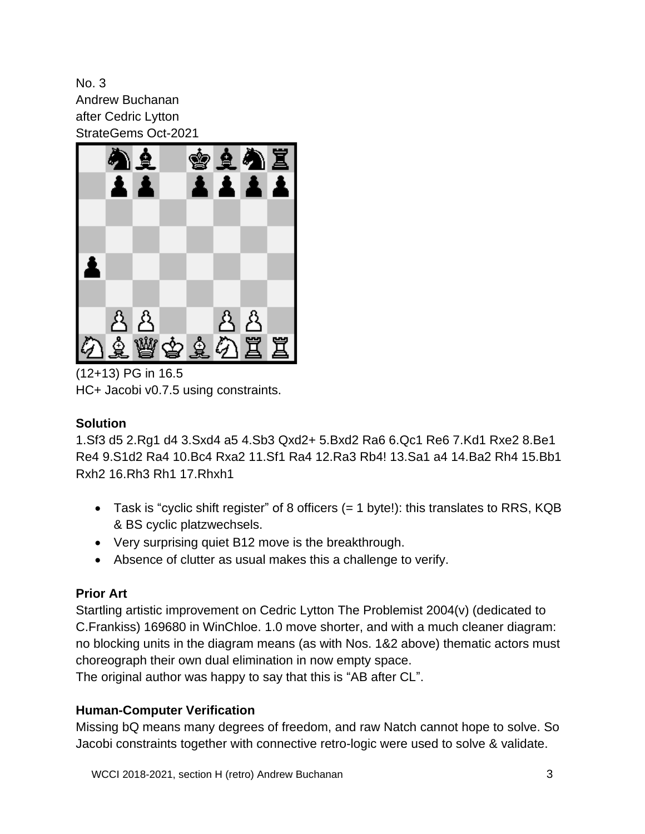No. 3 Andrew Buchanan after Cedric Lytton StrateGems Oct-2021



(12+13) PG in 16.5 HC+ Jacobi v0.7.5 using constraints.

# **Solution**

1.Sf3 d5 2.Rg1 d4 3.Sxd4 a5 4.Sb3 Qxd2+ 5.Bxd2 Ra6 6.Qc1 Re6 7.Kd1 Rxe2 8.Be1 Re4 9.S1d2 Ra4 10.Bc4 Rxa2 11.Sf1 Ra4 12.Ra3 Rb4! 13.Sa1 a4 14.Ba2 Rh4 15.Bb1 Rxh2 16.Rh3 Rh1 17.Rhxh1

- Task is "cyclic shift register" of 8 officers (= 1 byte!): this translates to RRS, KQB & BS cyclic platzwechsels.
- Very surprising quiet B12 move is the breakthrough.
- Absence of clutter as usual makes this a challenge to verify.

# **Prior Art**

Startling artistic improvement on Cedric Lytton The Problemist 2004(v) (dedicated to C.Frankiss) 169680 in WinChloe. 1.0 move shorter, and with a much cleaner diagram: no blocking units in the diagram means (as with Nos. 1&2 above) thematic actors must choreograph their own dual elimination in now empty space.

The original author was happy to say that this is "AB after CL".

# **Human-Computer Verification**

Missing bQ means many degrees of freedom, and raw Natch cannot hope to solve. So Jacobi constraints together with connective retro-logic were used to solve & validate.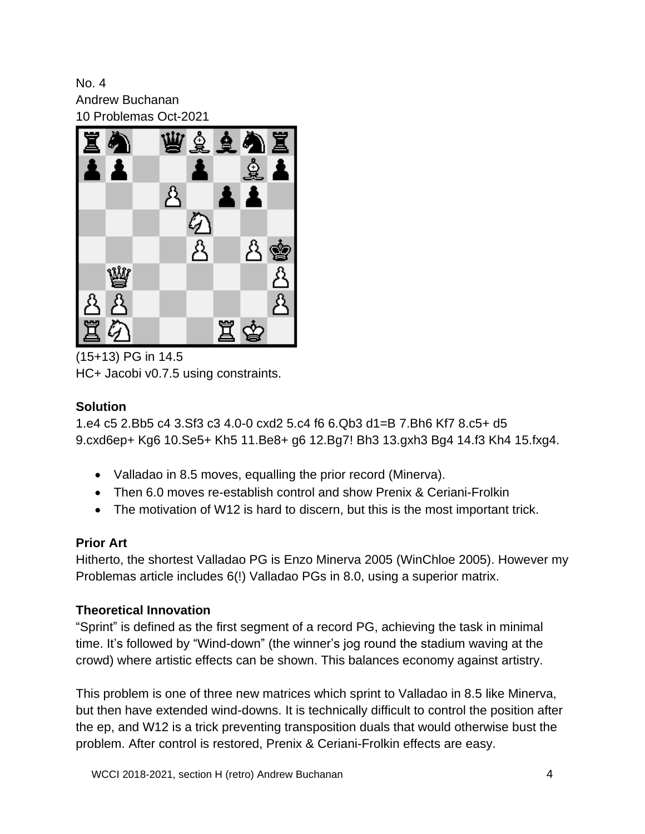No. 4 Andrew Buchanan 10 Problemas Oct-2021



(15+13) PG in 14.5 HC+ Jacobi v0.7.5 using constraints.

# **Solution**

1.e4 c5 2.Bb5 c4 3.Sf3 c3 4.0-0 cxd2 5.c4 f6 6.Qb3 d1=B 7.Bh6 Kf7 8.c5+ d5 9.cxd6ep+ Kg6 10.Se5+ Kh5 11.Be8+ g6 12.Bg7! Bh3 13.gxh3 Bg4 14.f3 Kh4 15.fxg4.

- Valladao in 8.5 moves, equalling the prior record (Minerva).
- Then 6.0 moves re-establish control and show Prenix & Ceriani-Frolkin
- The motivation of W12 is hard to discern, but this is the most important trick.

# **Prior Art**

Hitherto, the shortest Valladao PG is Enzo Minerva 2005 (WinChloe 2005). However my Problemas article includes 6(!) Valladao PGs in 8.0, using a superior matrix.

# **Theoretical Innovation**

"Sprint" is defined as the first segment of a record PG, achieving the task in minimal time. It's followed by "Wind-down" (the winner's jog round the stadium waving at the crowd) where artistic effects can be shown. This balances economy against artistry.

This problem is one of three new matrices which sprint to Valladao in 8.5 like Minerva, but then have extended wind-downs. It is technically difficult to control the position after the ep, and W12 is a trick preventing transposition duals that would otherwise bust the problem. After control is restored, Prenix & Ceriani-Frolkin effects are easy.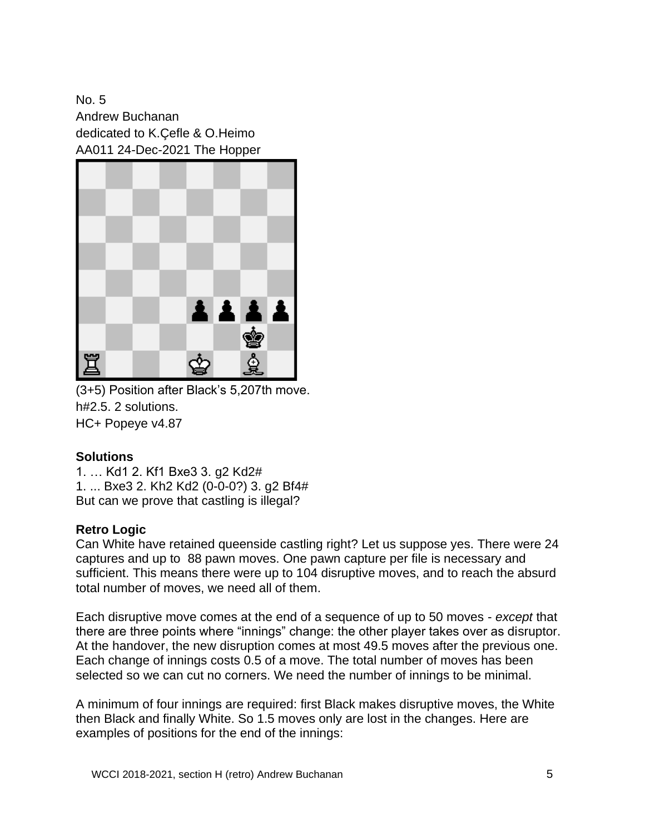No. 5 Andrew Buchanan dedicated to K.Çefle & O.Heimo AA011 24-Dec-2021 The Hopper



(3+5) Position after Black's 5,207th move. h#2.5. 2 solutions. HC+ Popeye v4.87

#### **Solutions**

1. … Kd1 2. Kf1 Bxe3 3. g2 Kd2# 1. ... Bxe3 2. Kh2 Kd2 (0-0-0?) 3. g2 Bf4# But can we prove that castling is illegal?

#### **Retro Logic**

Can White have retained queenside castling right? Let us suppose yes. There were 24 captures and up to 88 pawn moves. One pawn capture per file is necessary and sufficient. This means there were up to 104 disruptive moves, and to reach the absurd total number of moves, we need all of them.

Each disruptive move comes at the end of a sequence of up to 50 moves - *except* that there are three points where "innings" change: the other player takes over as disruptor. At the handover, the new disruption comes at most 49.5 moves after the previous one. Each change of innings costs 0.5 of a move. The total number of moves has been selected so we can cut no corners. We need the number of innings to be minimal.

A minimum of four innings are required: first Black makes disruptive moves, the White then Black and finally White. So 1.5 moves only are lost in the changes. Here are examples of positions for the end of the innings: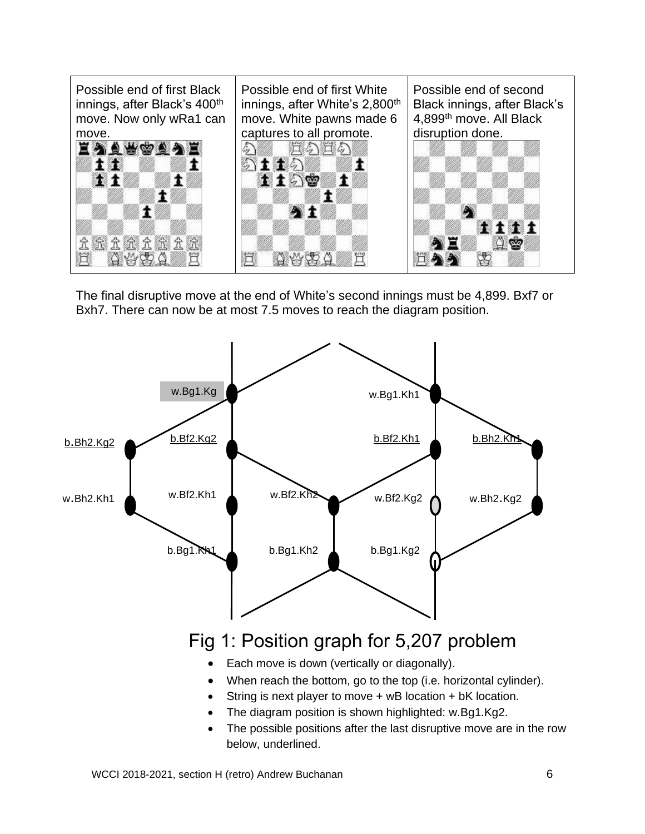

The final disruptive move at the end of White's second innings must be 4,899. Bxf7 or Bxh7. There can now be at most 7.5 moves to reach the diagram position.



The possible positions after the last disruptive move are in the row below, underlined.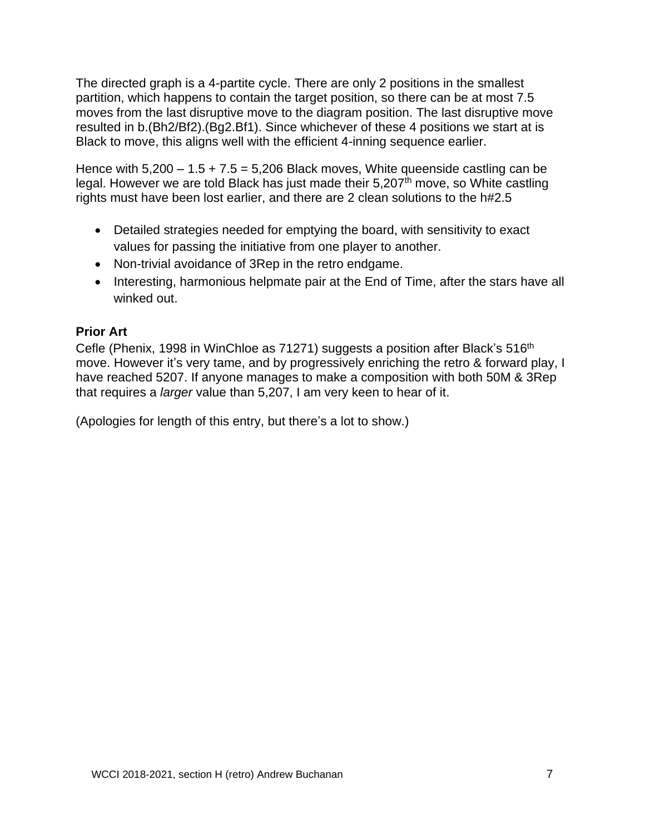The directed graph is a 4-partite cycle. There are only 2 positions in the smallest partition, which happens to contain the target position, so there can be at most 7.5 moves from the last disruptive move to the diagram position. The last disruptive move resulted in b.(Bh2/Bf2).(Bg2.Bf1). Since whichever of these 4 positions we start at is Black to move, this aligns well with the efficient 4-inning sequence earlier.

Hence with  $5,200 - 1.5 + 7.5 = 5,206$  Black moves, White queenside castling can be legal. However we are told Black has just made their  $5.207<sup>th</sup>$  move, so White castling rights must have been lost earlier, and there are 2 clean solutions to the h#2.5

- Detailed strategies needed for emptying the board, with sensitivity to exact values for passing the initiative from one player to another.
- Non-trivial avoidance of 3Rep in the retro endgame.
- Interesting, harmonious helpmate pair at the End of Time, after the stars have all winked out.

#### **Prior Art**

Cefle (Phenix, 1998 in WinChloe as 71271) suggests a position after Black's 516<sup>th</sup> move. However it's very tame, and by progressively enriching the retro & forward play, I have reached 5207. If anyone manages to make a composition with both 50M & 3Rep that requires a *larger* value than 5,207, I am very keen to hear of it.

(Apologies for length of this entry, but there's a lot to show.)